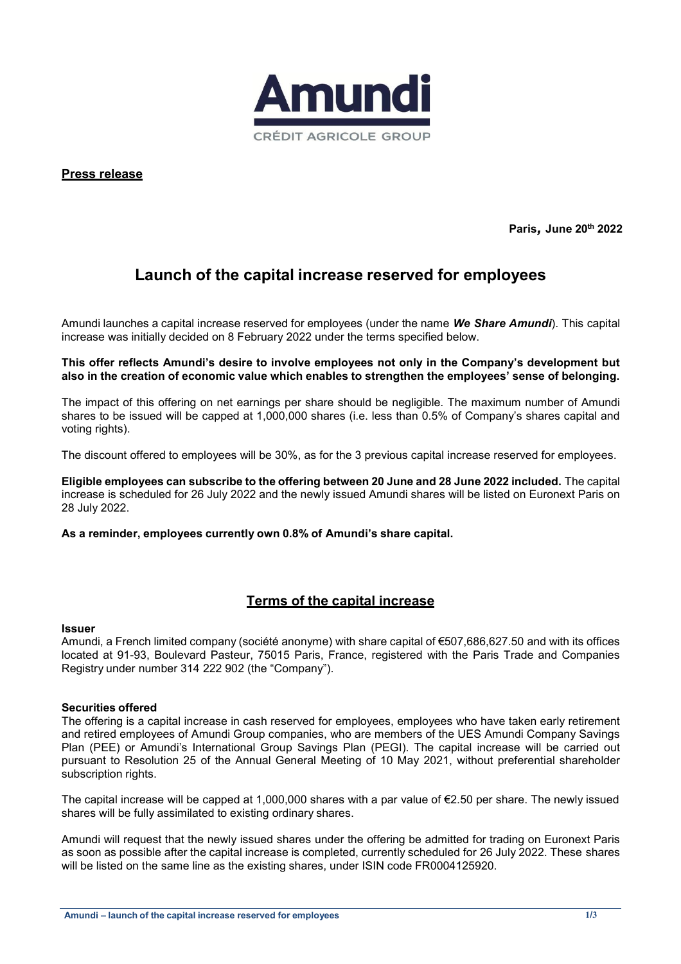

**Press release**

**Paris***,* **June 20th 2022**

# **Launch of the capital increase reserved for employees**

Amundi launches a capital increase reserved for employees (under the name *We Share Amundi*). This capital increase was initially decided on 8 February 2022 under the terms specified below.

**This offer reflects Amundi's desire to involve employees not only in the Company's development but also in the creation of economic value which enables to strengthen the employees' sense of belonging.**

The impact of this offering on net earnings per share should be negligible. The maximum number of Amundi shares to be issued will be capped at 1,000,000 shares (i.e. less than 0.5% of Company's shares capital and voting rights).

The discount offered to employees will be 30%, as for the 3 previous capital increase reserved for employees.

**Eligible employees can subscribe to the offering between 20 June and 28 June 2022 included.** The capital increase is scheduled for 26 July 2022 and the newly issued Amundi shares will be listed on Euronext Paris on 28 July 2022.

**As a reminder, employees currently own 0.8% of Amundi's share capital.**

## **Terms of the capital increase**

#### **Issuer**

Amundi, a French limited company (société anonyme) with share capital of €507,686,627.50 and with its offices located at 91-93, Boulevard Pasteur, 75015 Paris, France, registered with the Paris Trade and Companies Registry under number 314 222 902 (the "Company").

#### **Securities offered**

The offering is a capital increase in cash reserved for employees, employees who have taken early retirement and retired employees of Amundi Group companies, who are members of the UES Amundi Company Savings Plan (PEE) or Amundi's International Group Savings Plan (PEGI). The capital increase will be carried out pursuant to Resolution 25 of the Annual General Meeting of 10 May 2021, without preferential shareholder subscription rights.

The capital increase will be capped at 1,000,000 shares with a par value of €2.50 per share. The newly issued shares will be fully assimilated to existing ordinary shares.

Amundi will request that the newly issued shares under the offering be admitted for trading on Euronext Paris as soon as possible after the capital increase is completed, currently scheduled for 26 July 2022. These shares will be listed on the same line as the existing shares, under ISIN code FR0004125920.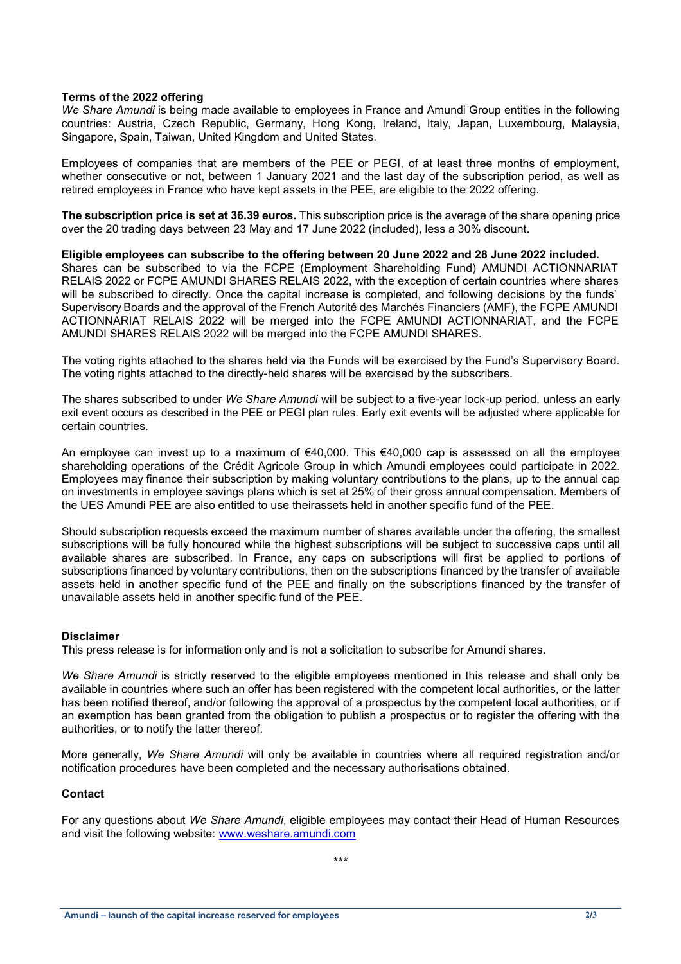#### **Terms of the 2022 offering**

*We Share Amundi* is being made available to employees in France and Amundi Group entities in the following countries: Austria, Czech Republic, Germany, Hong Kong, Ireland, Italy, Japan, Luxembourg, Malaysia, Singapore, Spain, Taiwan, United Kingdom and United States.

Employees of companies that are members of the PEE or PEGI, of at least three months of employment, whether consecutive or not, between 1 January 2021 and the last day of the subscription period, as well as retired employees in France who have kept assets in the PEE, are eligible to the 2022 offering.

**The subscription price is set at 36.39 euros.** This subscription price is the average of the share opening price over the 20 trading days between 23 May and 17 June 2022 (included), less a 30% discount.

**Eligible employees can subscribe to the offering between 20 June 2022 and 28 June 2022 included.**

Shares can be subscribed to via the FCPE (Employment Shareholding Fund) AMUNDI ACTIONNARIAT RELAIS 2022 or FCPE AMUNDI SHARES RELAIS 2022, with the exception of certain countries where shares will be subscribed to directly. Once the capital increase is completed, and following decisions by the funds' Supervisory Boards and the approval of the French Autorité des Marchés Financiers (AMF), the FCPE AMUNDI ACTIONNARIAT RELAIS 2022 will be merged into the FCPE AMUNDI ACTIONNARIAT, and the FCPE AMUNDI SHARES RELAIS 2022 will be merged into the FCPE AMUNDI SHARES.

The voting rights attached to the shares held via the Funds will be exercised by the Fund's Supervisory Board. The voting rights attached to the directly-held shares will be exercised by the subscribers.

The shares subscribed to under *We Share Amundi* will be subject to a five-year lock-up period, unless an early exit event occurs as described in the PEE or PEGI plan rules. Early exit events will be adjusted where applicable for certain countries.

An employee can invest up to a maximum of €40,000. This €40,000 cap is assessed on all the employee shareholding operations of the Crédit Agricole Group in which Amundi employees could participate in 2022. Employees may finance their subscription by making voluntary contributions to the plans, up to the annual cap on investments in employee savings plans which is set at 25% of their gross annual compensation. Members of the UES Amundi PEE are also entitled to use theirassets held in another specific fund of the PEE.

Should subscription requests exceed the maximum number of shares available under the offering, the smallest subscriptions will be fully honoured while the highest subscriptions will be subject to successive caps until all available shares are subscribed. In France, any caps on subscriptions will first be applied to portions of subscriptions financed by voluntary contributions, then on the subscriptions financed by the transfer of available assets held in another specific fund of the PEE and finally on the subscriptions financed by the transfer of unavailable assets held in another specific fund of the PEE.

#### **Disclaimer**

This press release is for information only and is not a solicitation to subscribe for Amundi shares.

*We Share Amundi* is strictly reserved to the eligible employees mentioned in this release and shall only be available in countries where such an offer has been registered with the competent local authorities, or the latter has been notified thereof, and/or following the approval of a prospectus by the competent local authorities, or if an exemption has been granted from the obligation to publish a prospectus or to register the offering with the authorities, or to notify the latter thereof.

More generally, *We Share Amundi* will only be available in countries where all required registration and/or notification procedures have been completed and the necessary authorisations obtained.

#### **Contact**

For any questions about *We Share Amundi*, eligible employees may contact their Head of Human Resources and visit the following website: [www.weshare.amundi.com](http://www.weshare.amundi.com/)